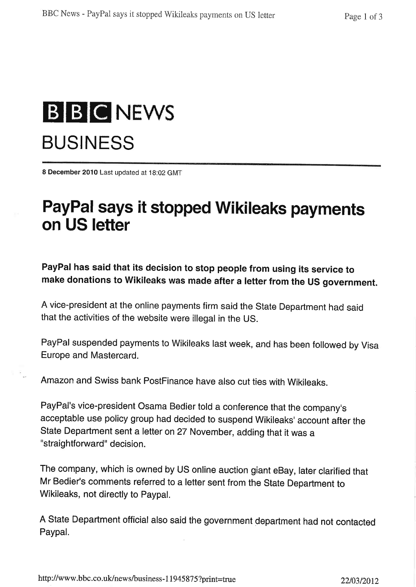## B B C NEWS BUSINESS

8 December 2010 Last updated at 18:02 GMT

## PayPal says it stopped Wikileaks payments on US letter

PayPal has said that its decision to stop people from using its service to make donations to Wikileaks was made after a letter from the US government.

A vice-president at the online payments firm said the State Department had said that the activities of the website were illegal in the US.

PayPal suspended payments to Wikileaks last week, and has been followed by Visa Europe and Mastercard.

' Amazon and Swiss bank PostFinance have also cut ties with Wikileaks.

PayPal's vice-president Osama Bedier told a conference that the company's acceptable use policy group had decided to suspend Wikileaks' account after the State Department sent a letter on 27 November, adding that it was a "straightforward" decision.

The company, which is owned by US online auction giant eBay, later clarified that Mr Bedier's comments referred to a letter sent from the State Department to Wikileaks, not directly to Paypal.

A State Department official also said the government department had not contacted Paypal.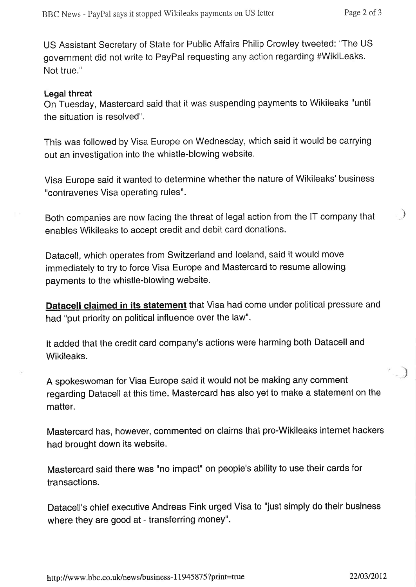US Assistant Secretary of State for Public Affairs Philip Crowley tweeted: "The US government did not write to PayPal requesting any action regarding #WikiLeaks. Not true."

## Legal threat

On Tuesday, Mastercard said that it was suspending payments to Wikileaks "until the situation is resolved".

This was followed by Visa Europe on Wednesday, which said it would be carrying out an investigation into the whistle-blowing website.

Visa Europe said it wanted to determine whether the nature of Wikileaks' business "contravenes Visa operating rules".

Both companies are now facing the threat of legal action from the IT company that  $\Box$ enables Wikileaks to accept credit and debit card donations.

Datacell, which operates from Switzerland and lceland, said it would move immediately to try to force Visa Europe and Mastercard to resume allowing payments to the whistle-blowing website.

Datacell claimed in its statement that Visa had come under political pressure and had "put priority on political influence over the law".

It added that the credit card company's actions were harming both Datacell and Wikileaks.

A spokeswoman for Visa Europe said it would not be making any comment regarding Datacell at this time. Mastercard has also yet to make a statement on the matter.

Mastercard has, however, commented on claims that pro-Wikileaks internet hackers had brought down its website.

Mastercard said there was "no impact" on people's ability to use their cards for transactions.

Datacell's chief executive Andreas Fink urged Visa to "just simply do their business where they are good at - transferring money".